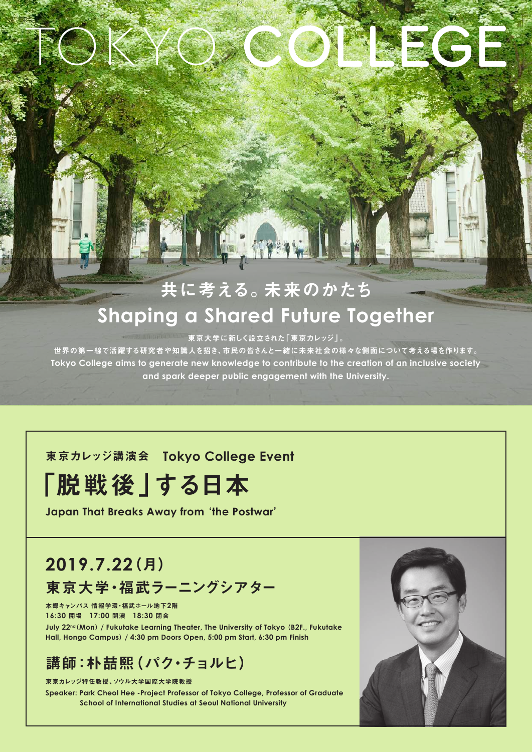## 共に考える。未来のかたち **Shaping a Shared Future Together**

E APAW

東京大学に新しく設立された「東京カレッジ」。

世界の第一線で活躍する研究者や知識人を招き、市民の皆さんと一緒に未来社会の様々な側面について考える場を作ります。 Tokyo College aims to generate new knowledge to contribute to the creation of an inclusive society and spark deeper public engagement with the University.

#### **東京カレッジ講演会 Tokyo College Event**

# 「脱戦後」する日本

**Japan That Breaks Away from 'the Postwar'** 

## (月(**2019.7.22**

 $\int K$ 

東京大学・福武ラーニングシアター

本郷キャンパス 情報学環·福武ホール地下2階 閉会 **18:30** 開演 **17:00** 開場 **16:30**

July 22<sup>nd</sup> (Mon) / Fukutake Learning Theater, The University of Tokyo (B2F., Fukutake Hall, Hongo Campus) / 4:30 pm Doors Open, 5:00 pm Start, 6:30 pm Finish

### 講師:朴喆熙(パク・チョルヒ)

東京カレッジ特任教授、ソウル大学国際大学院教授 **Speaker: Park Cheol Hee -Project Professor of Tokyo College, Professor of Graduate School of International Studies at Seoul National University**